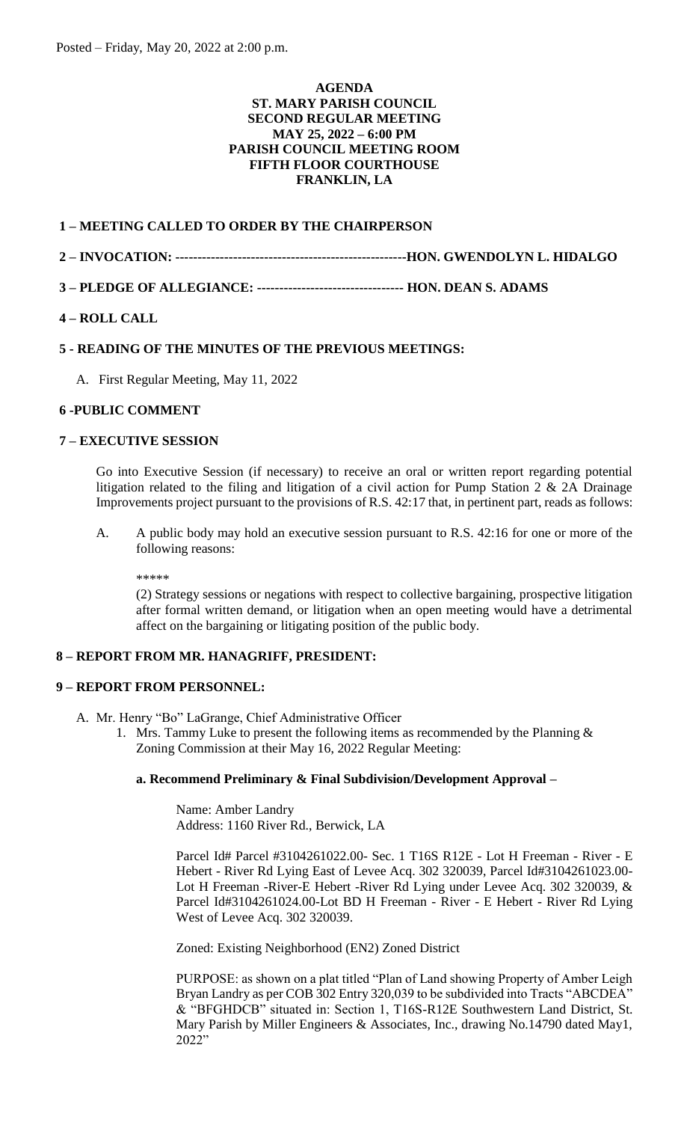### **AGENDA ST. MARY PARISH COUNCIL SECOND REGULAR MEETING MAY 25, 2022 – 6:00 PM PARISH COUNCIL MEETING ROOM FIFTH FLOOR COURTHOUSE FRANKLIN, LA**

## **1 – MEETING CALLED TO ORDER BY THE CHAIRPERSON**

## **2 – INVOCATION: ----------------------------------------------------HON. GWENDOLYN L. HIDALGO**

**3 – PLEDGE OF ALLEGIANCE: --------------------------------- HON. DEAN S. ADAMS** 

## **4 – ROLL CALL**

## **5 - READING OF THE MINUTES OF THE PREVIOUS MEETINGS:**

A. First Regular Meeting, May 11, 2022

## **6 -PUBLIC COMMENT**

### **7 – EXECUTIVE SESSION**

Go into Executive Session (if necessary) to receive an oral or written report regarding potential litigation related to the filing and litigation of a civil action for Pump Station 2 & 2A Drainage Improvements project pursuant to the provisions of R.S. 42:17 that, in pertinent part, reads as follows:

A. A public body may hold an executive session pursuant to R.S. 42:16 for one or more of the following reasons:

\*\*\*\*\*

(2) Strategy sessions or negations with respect to collective bargaining, prospective litigation after formal written demand, or litigation when an open meeting would have a detrimental affect on the bargaining or litigating position of the public body.

## **8 – REPORT FROM MR. HANAGRIFF, PRESIDENT:**

#### **9 – REPORT FROM PERSONNEL:**

- A. Mr. Henry "Bo" LaGrange, Chief Administrative Officer
	- 1. Mrs. Tammy Luke to present the following items as recommended by the Planning  $\&$ Zoning Commission at their May 16, 2022 Regular Meeting:

## **a. Recommend Preliminary & Final Subdivision/Development Approval –**

Name: Amber Landry Address: 1160 River Rd., Berwick, LA

Parcel Id# Parcel #3104261022.00- Sec. 1 T16S R12E - Lot H Freeman - River - E Hebert - River Rd Lying East of Levee Acq. 302 320039, Parcel Id#3104261023.00- Lot H Freeman -River-E Hebert -River Rd Lying under Levee Acq. 302 320039, & Parcel Id#3104261024.00-Lot BD H Freeman - River - E Hebert - River Rd Lying West of Levee Acq. 302 320039.

Zoned: Existing Neighborhood (EN2) Zoned District

PURPOSE: as shown on a plat titled "Plan of Land showing Property of Amber Leigh Bryan Landry as per COB 302 Entry 320,039 to be subdivided into Tracts "ABCDEA" & "BFGHDCB" situated in: Section 1, T16S-R12E Southwestern Land District, St. Mary Parish by Miller Engineers & Associates, Inc., drawing No.14790 dated May1, 2022"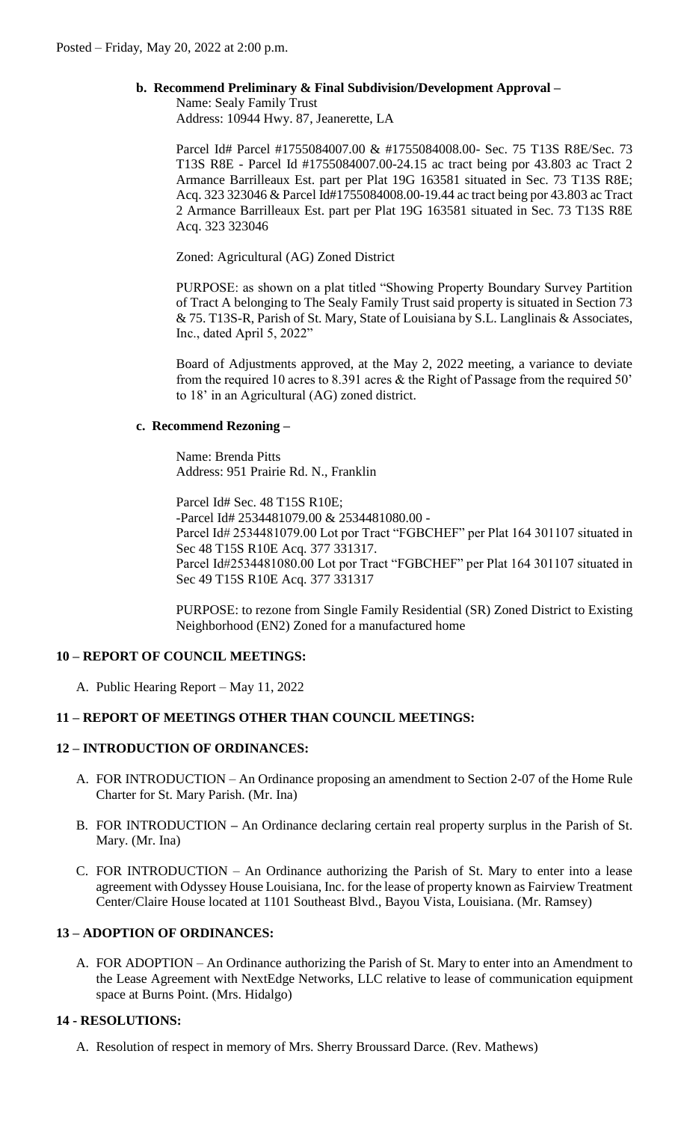## **b. Recommend Preliminary & Final Subdivision/Development Approval –**

Name: Sealy Family Trust

Address: 10944 Hwy. 87, Jeanerette, LA

Parcel Id# Parcel #1755084007.00 & #1755084008.00- Sec. 75 T13S R8E/Sec. 73 T13S R8E - Parcel Id #1755084007.00-24.15 ac tract being por 43.803 ac Tract 2 Armance Barrilleaux Est. part per Plat 19G 163581 situated in Sec. 73 T13S R8E; Acq. 323 323046 & Parcel Id#1755084008.00-19.44 ac tract being por 43.803 ac Tract 2 Armance Barrilleaux Est. part per Plat 19G 163581 situated in Sec. 73 T13S R8E Acq. 323 323046

Zoned: Agricultural (AG) Zoned District

PURPOSE: as shown on a plat titled "Showing Property Boundary Survey Partition of Tract A belonging to The Sealy Family Trust said property is situated in Section 73 & 75. T13S-R, Parish of St. Mary, State of Louisiana by S.L. Langlinais & Associates, Inc., dated April 5, 2022"

Board of Adjustments approved, at the May 2, 2022 meeting, a variance to deviate from the required 10 acres to 8.391 acres & the Right of Passage from the required 50' to 18' in an Agricultural (AG) zoned district.

## **c. Recommend Rezoning –**

Name: Brenda Pitts Address: 951 Prairie Rd. N., Franklin

Parcel Id# Sec. 48 T15S R10E; -Parcel Id# 2534481079.00 & 2534481080.00 - Parcel Id# 2534481079.00 Lot por Tract "FGBCHEF" per Plat 164 301107 situated in Sec 48 T15S R10E Acq. 377 331317. Parcel Id#2534481080.00 Lot por Tract "FGBCHEF" per Plat 164 301107 situated in Sec 49 T15S R10E Acq. 377 331317

PURPOSE: to rezone from Single Family Residential (SR) Zoned District to Existing Neighborhood (EN2) Zoned for a manufactured home

# **10 – REPORT OF COUNCIL MEETINGS:**

A. Public Hearing Report – May 11, 2022

# **11 – REPORT OF MEETINGS OTHER THAN COUNCIL MEETINGS:**

# **12 – INTRODUCTION OF ORDINANCES:**

- A. FOR INTRODUCTION An Ordinance proposing an amendment to Section 2-07 of the Home Rule Charter for St. Mary Parish. (Mr. Ina)
- B. FOR INTRODUCTION **–** An Ordinance declaring certain real property surplus in the Parish of St. Mary. (Mr. Ina)
- C. FOR INTRODUCTION An Ordinance authorizing the Parish of St. Mary to enter into a lease agreement with Odyssey House Louisiana, Inc. for the lease of property known as Fairview Treatment Center/Claire House located at 1101 Southeast Blvd., Bayou Vista, Louisiana. (Mr. Ramsey)

# **13 – ADOPTION OF ORDINANCES:**

A. FOR ADOPTION – An Ordinance authorizing the Parish of St. Mary to enter into an Amendment to the Lease Agreement with NextEdge Networks, LLC relative to lease of communication equipment space at Burns Point. (Mrs. Hidalgo)

## **14 - RESOLUTIONS:**

A. Resolution of respect in memory of Mrs. Sherry Broussard Darce. (Rev. Mathews)